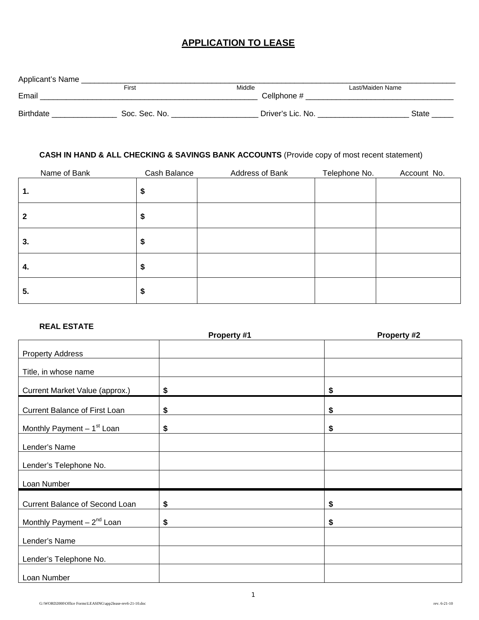# **APPLICATION TO LEASE**

| First         | Middle |             | Last/Maiden Name  |       |
|---------------|--------|-------------|-------------------|-------|
|               |        | Cellphone # |                   |       |
|               |        |             |                   |       |
| Soc. Sec. No. |        |             |                   | State |
|               |        |             | Driver's Lic. No. |       |

### **CASH IN HAND & ALL CHECKING & SAVINGS BANK ACCOUNTS** (Provide copy of most recent statement)

| Name of Bank | Cash Balance | Address of Bank | Telephone No. | Account No. |
|--------------|--------------|-----------------|---------------|-------------|
| 1.           | \$           |                 |               |             |
| 2            | \$           |                 |               |             |
| 3.           | \$           |                 |               |             |
| 4.           | \$           |                 |               |             |
| 5.           | \$           |                 |               |             |

#### **REAL ESTATE**

|                                | Property #1 | Property #2 |
|--------------------------------|-------------|-------------|
| <b>Property Address</b>        |             |             |
| Title, in whose name           |             |             |
| Current Market Value (approx.) | \$          | \$          |
| Current Balance of First Loan  | \$          | \$          |
| Monthly Payment $-1st$ Loan    | \$          | \$          |
| Lender's Name                  |             |             |
| Lender's Telephone No.         |             |             |
| Loan Number                    |             |             |
| Current Balance of Second Loan | \$          | \$          |
| Monthly Payment $-2^{nd}$ Loan | \$          | \$          |
| Lender's Name                  |             |             |
| Lender's Telephone No.         |             |             |
| Loan Number                    |             |             |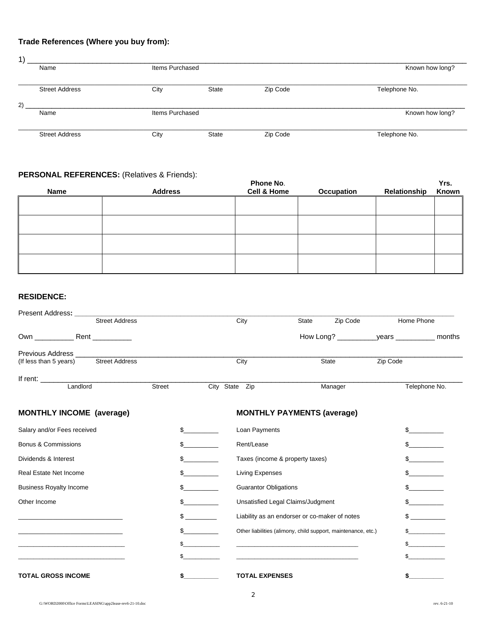# **Trade References (Where you buy from):**

| $\left( \right)$ |                       |                 |              |                 |                 |  |
|------------------|-----------------------|-----------------|--------------|-----------------|-----------------|--|
|                  | Name                  | Items Purchased |              | Known how long? |                 |  |
|                  | <b>Street Address</b> | City            | <b>State</b> | Zip Code        | Telephone No.   |  |
| 2)               | Name                  | Items Purchased |              |                 | Known how long? |  |
|                  | <b>Street Address</b> | City            | <b>State</b> | Zip Code        | Telephone No.   |  |

### **PERSONAL REFERENCES:** (Relatives & Friends):

| Name | <b>Address</b> | Phone No.<br><b>Cell &amp; Home</b> | Occupation | Relationship | Yrs.<br>Known |
|------|----------------|-------------------------------------|------------|--------------|---------------|
|      |                |                                     |            |              |               |
|      |                |                                     |            |              |               |
|      |                |                                     |            |              |               |
|      |                |                                     |            |              |               |
|      |                |                                     |            |              |               |

#### **RESIDENCE:**

|                                                                                                                                                                                                                               |        | City           |                              | State                                                       | Zip Code                                                      |          | Home Phone           |
|-------------------------------------------------------------------------------------------------------------------------------------------------------------------------------------------------------------------------------|--------|----------------|------------------------------|-------------------------------------------------------------|---------------------------------------------------------------|----------|----------------------|
|                                                                                                                                                                                                                               |        |                |                              |                                                             |                                                               |          |                      |
| <b>Previous Address Example 2018</b><br><b>Street Address</b><br>(If less than 5 years)                                                                                                                                       |        |                | City                         |                                                             | State                                                         | Zip Code |                      |
| If rent: Landlord                                                                                                                                                                                                             |        |                |                              |                                                             |                                                               |          |                      |
|                                                                                                                                                                                                                               | Street | City State Zip |                              |                                                             | Manager                                                       |          | Telephone No.        |
| <b>MONTHLY INCOME (average)</b>                                                                                                                                                                                               |        |                |                              | <b>MONTHLY PAYMENTS (average)</b>                           |                                                               |          |                      |
| Salary and/or Fees received                                                                                                                                                                                                   |        |                | Loan Payments                |                                                             |                                                               |          |                      |
| <b>Bonus &amp; Commissions</b>                                                                                                                                                                                                |        | $\mathbb{S}$   | Rent/Lease                   |                                                             |                                                               |          | $\mathbb{S}$         |
| Dividends & Interest                                                                                                                                                                                                          |        | $\mathbb{S}$   |                              | Taxes (income & property taxes)                             |                                                               |          | $\mathbb{S}$         |
| <b>Real Estate Net Income</b>                                                                                                                                                                                                 |        | $\frac{1}{2}$  | <b>Living Expenses</b>       |                                                             |                                                               |          | $\mathbb{S}$         |
| <b>Business Royalty Income</b>                                                                                                                                                                                                |        | $\sim$         | <b>Guarantor Obligations</b> |                                                             |                                                               |          | $\mathbb{S}$         |
| Other Income                                                                                                                                                                                                                  |        | $\mathbb{S}$   |                              | Unsatisfied Legal Claims/Judgment                           |                                                               |          | $\mathbb{S}$         |
|                                                                                                                                                                                                                               |        | $\mathbb{S}$   |                              | Liability as an endorser or co-maker of notes               |                                                               |          | $\mathbb{S}$         |
| the control of the control of the control of the control of the control of the control of the control of the control of the control of the control of the control of the control of the control of the control of the control |        | $\sim$         |                              |                                                             | Other liabilities (alimony, child support, maintenance, etc.) |          | $\mathbb{S}$         |
| the control of the control of the control of the control of the control of the control of                                                                                                                                     |        | $\frac{1}{2}$  |                              | <u> 1989 - Andrea Stadt Britain, amerikansk politiker (</u> |                                                               |          | $\mathbb{S}$         |
|                                                                                                                                                                                                                               | \$     |                |                              |                                                             |                                                               |          | <u>and the state</u> |
| <b>TOTAL GROSS INCOME</b>                                                                                                                                                                                                     | \$     |                | <b>TOTAL EXPENSES</b>        |                                                             |                                                               | \$       |                      |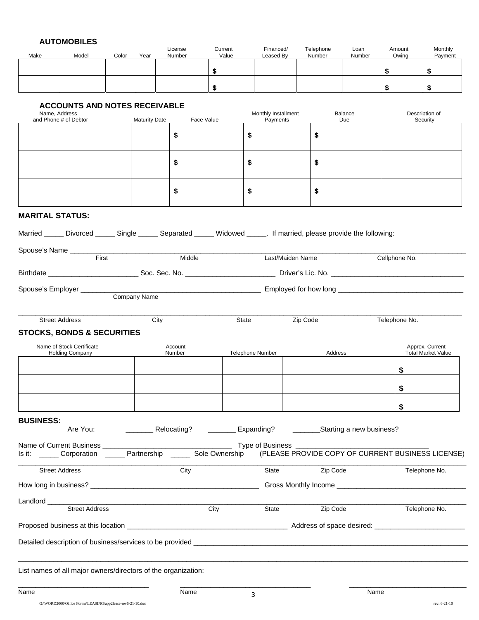### **AUTOMOBILES**

| Name, Address<br>and Phone # of Debtor<br><b>MARITAL STATUS:</b>                                                   | <b>ACCOUNTS AND NOTES RECEIVABLE</b>                | <b>Maturity Date</b> | \$                | \$<br>\$<br>Face Value | Monthly Installment<br>Payments                                                                                      |          |          | Balance<br>Due | \$<br>\$      | \$<br>\$<br>Description of<br>Security       |
|--------------------------------------------------------------------------------------------------------------------|-----------------------------------------------------|----------------------|-------------------|------------------------|----------------------------------------------------------------------------------------------------------------------|----------|----------|----------------|---------------|----------------------------------------------|
|                                                                                                                    |                                                     |                      |                   |                        |                                                                                                                      |          |          |                |               |                                              |
|                                                                                                                    |                                                     |                      |                   |                        |                                                                                                                      |          |          |                |               |                                              |
|                                                                                                                    |                                                     |                      |                   |                        |                                                                                                                      |          |          |                |               |                                              |
|                                                                                                                    |                                                     |                      |                   |                        |                                                                                                                      |          |          |                |               |                                              |
|                                                                                                                    |                                                     |                      |                   |                        |                                                                                                                      |          | \$       |                |               |                                              |
|                                                                                                                    |                                                     |                      |                   |                        | \$                                                                                                                   |          |          |                |               |                                              |
|                                                                                                                    |                                                     |                      | \$                |                        | \$                                                                                                                   |          | \$       |                |               |                                              |
|                                                                                                                    |                                                     |                      | \$                |                        | \$                                                                                                                   |          | \$       |                |               |                                              |
|                                                                                                                    |                                                     |                      |                   |                        |                                                                                                                      |          |          |                |               |                                              |
| Married _____ Divorced _____ Single _____ Separated _____ Widowed _____. If married, please provide the following: |                                                     |                      |                   |                        |                                                                                                                      |          |          |                |               |                                              |
|                                                                                                                    |                                                     |                      |                   |                        |                                                                                                                      |          |          |                |               |                                              |
|                                                                                                                    | First                                               |                      | Middle            |                        | Last/Maiden Name                                                                                                     |          |          |                | Cellphone No. |                                              |
|                                                                                                                    |                                                     |                      |                   |                        |                                                                                                                      |          |          |                |               |                                              |
| Spouse's Employer ________                                                                                         |                                                     | Company Name         |                   |                        |                                                                                                                      |          |          |                |               |                                              |
|                                                                                                                    |                                                     |                      |                   |                        |                                                                                                                      |          |          |                |               |                                              |
| <b>Street Address</b>                                                                                              |                                                     | City                 |                   |                        | State                                                                                                                | Zip Code |          |                | Telephone No. |                                              |
| <b>STOCKS, BONDS &amp; SECURITIES</b>                                                                              |                                                     |                      |                   |                        |                                                                                                                      |          |          |                |               |                                              |
|                                                                                                                    | Name of Stock Certificate<br><b>Holding Company</b> |                      | Account<br>Number |                        | Telephone Number                                                                                                     |          | Address  |                |               | Approx. Current<br><b>Total Market Value</b> |
|                                                                                                                    |                                                     |                      |                   |                        |                                                                                                                      |          |          |                | \$            |                                              |
|                                                                                                                    |                                                     |                      |                   |                        |                                                                                                                      |          |          |                | \$            |                                              |
|                                                                                                                    |                                                     |                      |                   |                        |                                                                                                                      |          |          |                | \$            |                                              |
| <b>BUSINESS:</b>                                                                                                   |                                                     |                      |                   |                        |                                                                                                                      |          |          |                |               |                                              |
|                                                                                                                    | Are You:                                            |                      |                   |                        |                                                                                                                      |          |          |                |               |                                              |
|                                                                                                                    |                                                     |                      |                   |                        | Is it: ______ Corporation ______ Partnership ______ Sole Ownership (PLEASE PROVIDE COPY OF CURRENT BUSINESS LICENSE) |          |          |                |               |                                              |
|                                                                                                                    |                                                     |                      |                   |                        |                                                                                                                      |          |          |                |               |                                              |
| <b>Street Address</b>                                                                                              |                                                     |                      | City              |                        | State                                                                                                                |          | Zip Code |                |               | Telephone No.                                |
|                                                                                                                    |                                                     |                      |                   |                        |                                                                                                                      |          |          |                |               |                                              |
| Landlord _____                                                                                                     | <b>Street Address</b>                               |                      |                   | City                   | State                                                                                                                |          | Zip Code |                |               | Telephone No.                                |
|                                                                                                                    |                                                     |                      |                   |                        |                                                                                                                      |          |          |                |               |                                              |
|                                                                                                                    |                                                     |                      |                   |                        |                                                                                                                      |          |          |                |               |                                              |
|                                                                                                                    |                                                     |                      |                   |                        |                                                                                                                      |          |          |                |               |                                              |
| List names of all major owners/directors of the organization:                                                      |                                                     |                      |                   |                        |                                                                                                                      |          |          |                |               |                                              |